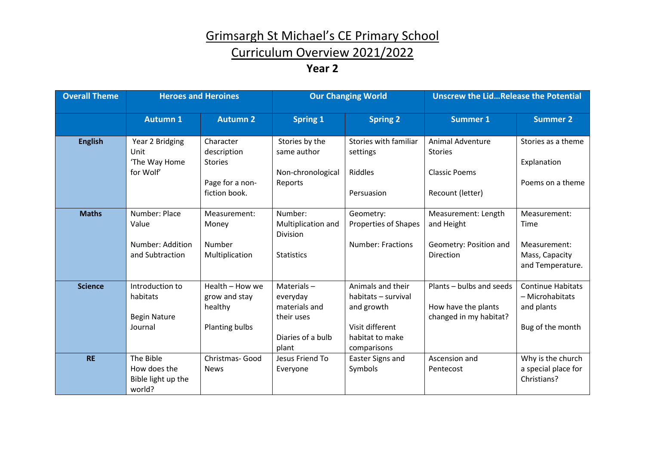# Grimsargh St Michael's CE Primary School

### Curriculum Overview 2021/2022

#### **Year 2**

| <b>Overall Theme</b> | <b>Heroes and Heroines</b>                                    |                                                                                | <b>Our Changing World</b>                                                           |                                                                                                             | <b>Unscrew the LidRelease the Potential</b>                                           |                                                                               |
|----------------------|---------------------------------------------------------------|--------------------------------------------------------------------------------|-------------------------------------------------------------------------------------|-------------------------------------------------------------------------------------------------------------|---------------------------------------------------------------------------------------|-------------------------------------------------------------------------------|
|                      | <b>Autumn 1</b>                                               | <b>Autumn 2</b>                                                                | <b>Spring 1</b>                                                                     | <b>Spring 2</b>                                                                                             | <b>Summer 1</b>                                                                       | <b>Summer 2</b>                                                               |
| <b>English</b>       | Year 2 Bridging<br>Unit<br>'The Way Home<br>for Wolf'         | Character<br>description<br><b>Stories</b><br>Page for a non-<br>fiction book. | Stories by the<br>same author<br>Non-chronological<br>Reports                       | Stories with familiar<br>settings<br><b>Riddles</b><br>Persuasion                                           | <b>Animal Adventure</b><br><b>Stories</b><br><b>Classic Poems</b><br>Recount (letter) | Stories as a theme<br>Explanation<br>Poems on a theme                         |
| <b>Maths</b>         | Number: Place<br>Value<br>Number: Addition<br>and Subtraction | Measurement:<br>Money<br><b>Number</b><br>Multiplication                       | Number:<br>Multiplication and<br><b>Division</b><br><b>Statistics</b>               | Geometry:<br><b>Properties of Shapes</b><br><b>Number: Fractions</b>                                        | Measurement: Length<br>and Height<br>Geometry: Position and<br>Direction              | Measurement:<br>Time<br>Measurement:<br>Mass, Capacity<br>and Temperature.    |
| <b>Science</b>       | Introduction to<br>habitats<br><b>Begin Nature</b><br>Journal | Health - How we<br>grow and stay<br>healthy<br>Planting bulbs                  | Materials-<br>everyday<br>materials and<br>their uses<br>Diaries of a bulb<br>plant | Animals and their<br>habitats - survival<br>and growth<br>Visit different<br>habitat to make<br>comparisons | Plants - bulbs and seeds<br>How have the plants<br>changed in my habitat?             | <b>Continue Habitats</b><br>- Microhabitats<br>and plants<br>Bug of the month |
| <b>RE</b>            | The Bible<br>How does the<br>Bible light up the<br>world?     | Christmas- Good<br><b>News</b>                                                 | Jesus Friend To<br>Everyone                                                         | Easter Signs and<br>Symbols                                                                                 | Ascension and<br>Pentecost                                                            | Why is the church<br>a special place for<br>Christians?                       |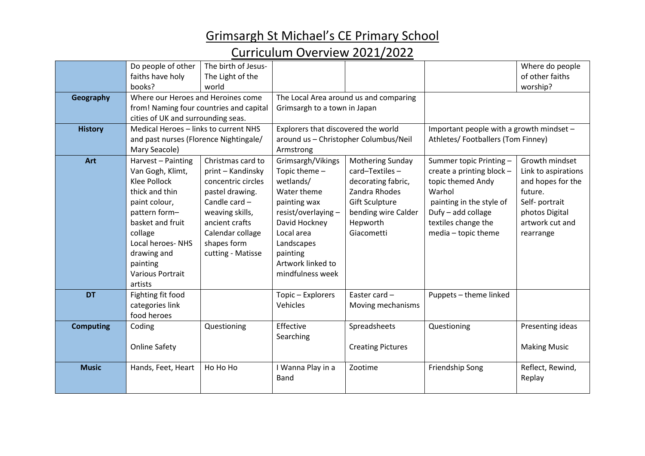# Grimsargh St Michael's CE Primary School

#### Curriculum Overview 2021/2022

|                  | Do people of other                      | The birth of Jesus- |                                        |                          |                                          |                     |
|------------------|-----------------------------------------|---------------------|----------------------------------------|--------------------------|------------------------------------------|---------------------|
|                  |                                         |                     |                                        |                          |                                          | Where do people     |
|                  | faiths have holy                        | The Light of the    |                                        |                          |                                          | of other faiths     |
|                  | books?                                  | world               |                                        |                          |                                          | worship?            |
| Geography        | Where our Heroes and Heroines come      |                     | The Local Area around us and comparing |                          |                                          |                     |
|                  | from! Naming four countries and capital |                     | Grimsargh to a town in Japan           |                          |                                          |                     |
|                  | cities of UK and surrounding seas.      |                     |                                        |                          |                                          |                     |
| <b>History</b>   | Medical Heroes - links to current NHS   |                     | Explorers that discovered the world    |                          | Important people with a growth mindset - |                     |
|                  | and past nurses (Florence Nightingale/  |                     | around us - Christopher Columbus/Neil  |                          | Athletes/Footballers (Tom Finney)        |                     |
|                  | Mary Seacole)                           |                     | Armstrong                              |                          |                                          |                     |
| Art              | Harvest - Painting                      | Christmas card to   | Grimsargh/Vikings                      | <b>Mothering Sunday</b>  | Summer topic Printing -                  | Growth mindset      |
|                  | Van Gogh, Klimt,                        | print - Kandinsky   | Topic theme -                          | card-Textiles-           | create a printing block -                | Link to aspirations |
|                  | <b>Klee Pollock</b>                     | concentric circles  | wetlands/                              | decorating fabric,       | topic themed Andy                        | and hopes for the   |
|                  | thick and thin                          | pastel drawing.     | Water theme                            | Zandra Rhodes            | Warhol                                   | future.             |
|                  | paint colour,                           | Candle card -       | painting wax                           | <b>Gift Sculpture</b>    | painting in the style of                 | Self-portrait       |
|                  | pattern form-                           | weaving skills,     | resist/overlaying -                    | bending wire Calder      | Dufy - add collage                       | photos Digital      |
|                  | basket and fruit                        | ancient crafts      | David Hockney                          | Hepworth                 | textiles change the                      | artwork cut and     |
|                  | collage                                 | Calendar collage    | Local area                             | Giacometti               | media - topic theme                      | rearrange           |
|                  | <b>Local heroes-NHS</b>                 | shapes form         | Landscapes                             |                          |                                          |                     |
|                  | drawing and                             | cutting - Matisse   | painting                               |                          |                                          |                     |
|                  | painting                                |                     | Artwork linked to                      |                          |                                          |                     |
|                  | <b>Various Portrait</b>                 |                     | mindfulness week                       |                          |                                          |                     |
|                  | artists                                 |                     |                                        |                          |                                          |                     |
| <b>DT</b>        | Fighting fit food                       |                     | Topic - Explorers                      | Easter card -            | Puppets - theme linked                   |                     |
|                  | categories link                         |                     | Vehicles                               | Moving mechanisms        |                                          |                     |
|                  | food heroes                             |                     |                                        |                          |                                          |                     |
| <b>Computing</b> | Coding                                  | Questioning         | Effective                              | Spreadsheets             | Questioning                              | Presenting ideas    |
|                  |                                         |                     | Searching                              |                          |                                          |                     |
|                  | <b>Online Safety</b>                    |                     |                                        | <b>Creating Pictures</b> |                                          | <b>Making Music</b> |
|                  |                                         |                     |                                        |                          |                                          |                     |
| <b>Music</b>     | Hands, Feet, Heart                      | Ho Ho Ho            | I Wanna Play in a                      | Zootime                  | Friendship Song                          | Reflect, Rewind,    |
|                  |                                         |                     | <b>Band</b>                            |                          |                                          | Replay              |
|                  |                                         |                     |                                        |                          |                                          |                     |